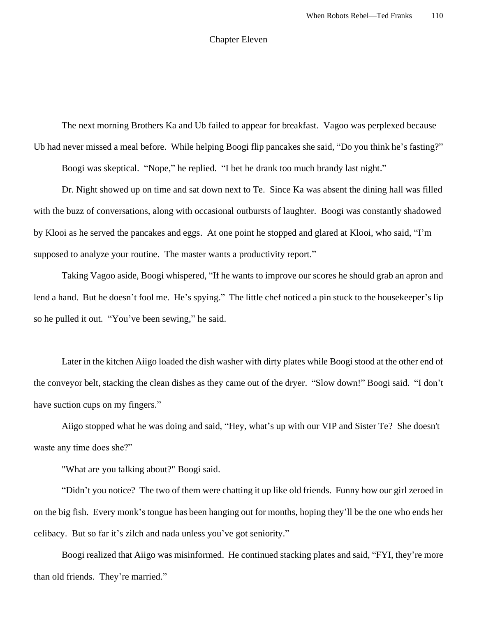## Chapter Eleven

The next morning Brothers Ka and Ub failed to appear for breakfast. Vagoo was perplexed because Ub had never missed a meal before. While helping Boogi flip pancakes she said, "Do you think he's fasting?"

Boogi was skeptical. "Nope," he replied. "I bet he drank too much brandy last night."

Dr. Night showed up on time and sat down next to Te. Since Ka was absent the dining hall was filled with the buzz of conversations, along with occasional outbursts of laughter. Boogi was constantly shadowed by Klooi as he served the pancakes and eggs. At one point he stopped and glared at Klooi, who said, "I'm supposed to analyze your routine. The master wants a productivity report."

Taking Vagoo aside, Boogi whispered, "If he wants to improve our scores he should grab an apron and lend a hand. But he doesn't fool me. He's spying." The little chef noticed a pin stuck to the housekeeper's lip so he pulled it out. "You've been sewing," he said.

Later in the kitchen Aiigo loaded the dish washer with dirty plates while Boogi stood at the other end of the conveyor belt, stacking the clean dishes as they came out of the dryer. "Slow down!" Boogi said. "I don't have suction cups on my fingers."

Aiigo stopped what he was doing and said, "Hey, what's up with our VIP and Sister Te? She doesn't waste any time does she?"

"What are you talking about?" Boogi said.

"Didn't you notice? The two of them were chatting it up like old friends. Funny how our girl zeroed in on the big fish. Every monk'stongue has been hanging out for months, hoping they'll be the one who ends her celibacy. But so far it's zilch and nada unless you've got seniority."

Boogi realized that Aiigo was misinformed. He continued stacking plates and said, "FYI, they're more than old friends. They're married."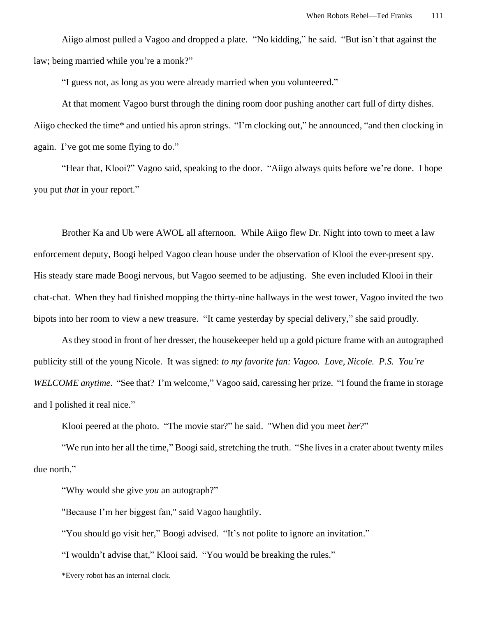Aiigo almost pulled a Vagoo and dropped a plate. "No kidding," he said. "But isn't that against the law; being married while you're a monk?"

"I guess not, as long as you were already married when you volunteered."

At that moment Vagoo burst through the dining room door pushing another cart full of dirty dishes. Aiigo checked the time\* and untied his apron strings. "I'm clocking out," he announced, "and then clocking in again. I've got me some flying to do."

"Hear that, Klooi?" Vagoo said, speaking to the door. "Aiigo always quits before we're done. I hope you put *that* in your report."

Brother Ka and Ub were AWOL all afternoon. While Aiigo flew Dr. Night into town to meet a law enforcement deputy, Boogi helped Vagoo clean house under the observation of Klooi the ever-present spy. His steady stare made Boogi nervous, but Vagoo seemed to be adjusting. She even included Klooi in their chat-chat. When they had finished mopping the thirty-nine hallways in the west tower, Vagoo invited the two bipots into her room to view a new treasure. "It came yesterday by special delivery," she said proudly.

As they stood in front of her dresser, the housekeeper held up a gold picture frame with an autographed publicity still of the young Nicole. It was signed: *to my favorite fan: Vagoo. Love, Nicole. P.S. You're WELCOME anytime*. "See that? I'm welcome," Vagoo said, caressing her prize. "I found the frame in storage and I polished it real nice."

Klooi peered at the photo. "The movie star?" he said. "When did you meet *her*?"

"We run into her all the time," Boogi said, stretching the truth. "She lives in a crater about twenty miles due north."

"Why would she give *you* an autograph?"

"Because I'm her biggest fan," said Vagoo haughtily.

"You should go visit her," Boogi advised. "It's not polite to ignore an invitation."

"I wouldn't advise that," Klooi said. "You would be breaking the rules."

\*Every robot has an internal clock.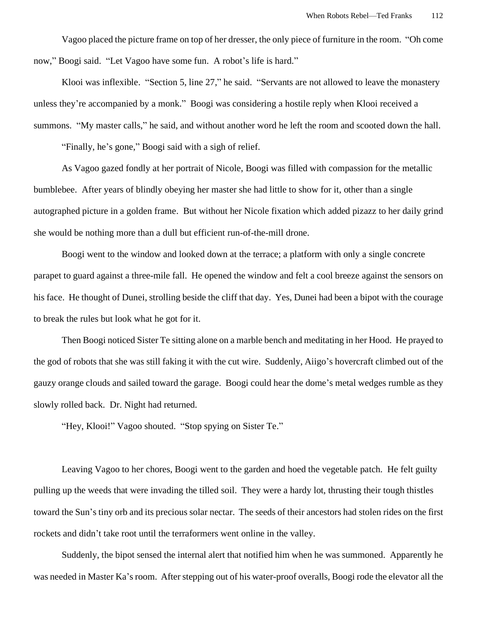Vagoo placed the picture frame on top of her dresser, the only piece of furniture in the room. "Oh come now," Boogi said. "Let Vagoo have some fun. A robot's life is hard."

Klooi was inflexible. "Section 5, line 27," he said. "Servants are not allowed to leave the monastery unless they're accompanied by a monk." Boogi was considering a hostile reply when Klooi received a summons. "My master calls," he said, and without another word he left the room and scooted down the hall.

"Finally, he's gone," Boogi said with a sigh of relief.

As Vagoo gazed fondly at her portrait of Nicole, Boogi was filled with compassion for the metallic bumblebee. After years of blindly obeying her master she had little to show for it, other than a single autographed picture in a golden frame. But without her Nicole fixation which added pizazz to her daily grind she would be nothing more than a dull but efficient run-of-the-mill drone.

Boogi went to the window and looked down at the terrace; a platform with only a single concrete parapet to guard against a three-mile fall. He opened the window and felt a cool breeze against the sensors on his face. He thought of Dunei, strolling beside the cliff that day. Yes, Dunei had been a bipot with the courage to break the rules but look what he got for it.

Then Boogi noticed Sister Te sitting alone on a marble bench and meditating in her Hood. He prayed to the god of robots that she was still faking it with the cut wire. Suddenly, Aiigo's hovercraft climbed out of the gauzy orange clouds and sailed toward the garage. Boogi could hear the dome's metal wedges rumble as they slowly rolled back. Dr. Night had returned.

"Hey, Klooi!" Vagoo shouted. "Stop spying on Sister Te."

Leaving Vagoo to her chores, Boogi went to the garden and hoed the vegetable patch. He felt guilty pulling up the weeds that were invading the tilled soil. They were a hardy lot, thrusting their tough thistles toward the Sun's tiny orb and its precious solar nectar. The seeds of their ancestors had stolen rides on the first rockets and didn't take root until the terraformers went online in the valley.

Suddenly, the bipot sensed the internal alert that notified him when he was summoned. Apparently he was needed in Master Ka's room. After stepping out of his water-proof overalls, Boogi rode the elevator all the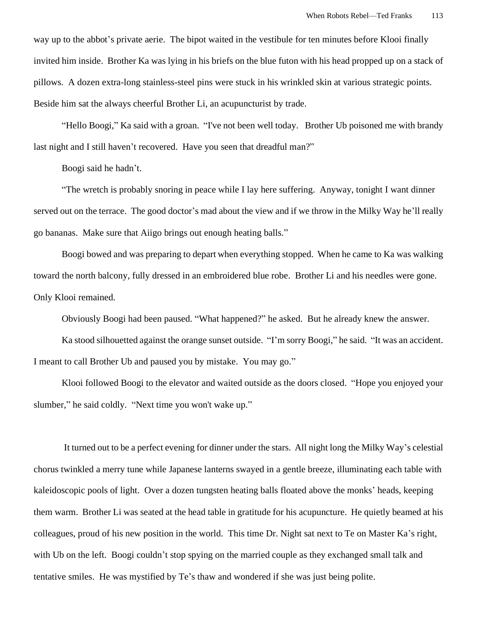way up to the abbot's private aerie. The bipot waited in the vestibule for ten minutes before Klooi finally invited him inside. Brother Ka was lying in his briefs on the blue futon with his head propped up on a stack of pillows. A dozen extra-long stainless-steel pins were stuck in his wrinkled skin at various strategic points. Beside him sat the always cheerful Brother Li, an acupuncturist by trade.

"Hello Boogi," Ka said with a groan. "I've not been well today. Brother Ub poisoned me with brandy last night and I still haven't recovered. Have you seen that dreadful man?"

Boogi said he hadn't.

"The wretch is probably snoring in peace while I lay here suffering. Anyway, tonight I want dinner served out on the terrace. The good doctor's mad about the view and if we throw in the Milky Way he'll really go bananas. Make sure that Aiigo brings out enough heating balls."

Boogi bowed and was preparing to depart when everything stopped. When he came to Ka was walking toward the north balcony, fully dressed in an embroidered blue robe. Brother Li and his needles were gone. Only Klooi remained.

Obviously Boogi had been paused. "What happened?" he asked. But he already knew the answer.

Ka stood silhouetted against the orange sunset outside. "I'm sorry Boogi," he said. "It was an accident. I meant to call Brother Ub and paused you by mistake. You may go."

Klooi followed Boogi to the elevator and waited outside as the doors closed. "Hope you enjoyed your slumber," he said coldly. "Next time you won't wake up."

It turned out to be a perfect evening for dinner under the stars. All night long the Milky Way's celestial chorus twinkled a merry tune while Japanese lanterns swayed in a gentle breeze, illuminating each table with kaleidoscopic pools of light. Over a dozen tungsten heating balls floated above the monks' heads, keeping them warm. Brother Li was seated at the head table in gratitude for his acupuncture. He quietly beamed at his colleagues, proud of his new position in the world. This time Dr. Night sat next to Te on Master Ka's right, with Ub on the left. Boogi couldn't stop spying on the married couple as they exchanged small talk and tentative smiles. He was mystified by Te's thaw and wondered if she was just being polite.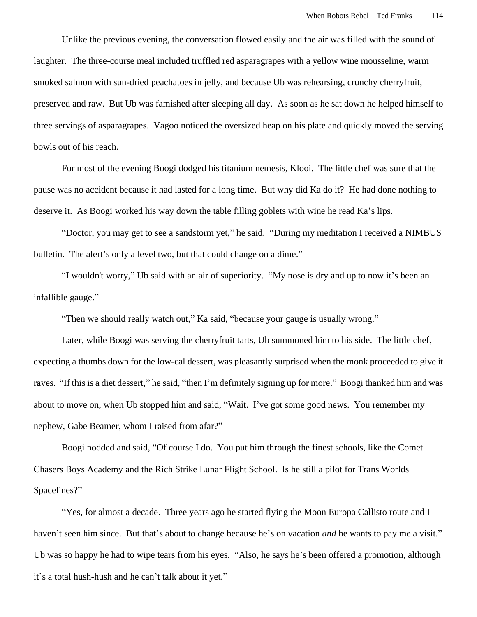Unlike the previous evening, the conversation flowed easily and the air was filled with the sound of laughter. The three-course meal included truffled red asparagrapes with a yellow wine mousseline, warm smoked salmon with sun-dried peachatoes in jelly, and because Ub was rehearsing, crunchy cherryfruit, preserved and raw. But Ub was famished after sleeping all day. As soon as he sat down he helped himself to three servings of asparagrapes. Vagoo noticed the oversized heap on his plate and quickly moved the serving bowls out of his reach.

For most of the evening Boogi dodged his titanium nemesis, Klooi. The little chef was sure that the pause was no accident because it had lasted for a long time. But why did Ka do it? He had done nothing to deserve it. As Boogi worked his way down the table filling goblets with wine he read Ka's lips.

"Doctor, you may get to see a sandstorm yet," he said. "During my meditation I received a NIMBUS bulletin. The alert's only a level two, but that could change on a dime."

"I wouldn't worry," Ub said with an air of superiority. "My nose is dry and up to now it's been an infallible gauge."

"Then we should really watch out," Ka said, "because your gauge is usually wrong."

Later, while Boogi was serving the cherryfruit tarts, Ub summoned him to his side. The little chef, expecting a thumbs down for the low-cal dessert, was pleasantly surprised when the monk proceeded to give it raves. "If this is a diet dessert," he said, "then I'm definitely signing up for more." Boogi thanked him and was about to move on, when Ub stopped him and said, "Wait. I've got some good news. You remember my nephew, Gabe Beamer, whom I raised from afar?"

Boogi nodded and said, "Of course I do. You put him through the finest schools, like the Comet Chasers Boys Academy and the Rich Strike Lunar Flight School. Is he still a pilot for Trans Worlds Spacelines?"

"Yes, for almost a decade. Three years ago he started flying the Moon Europa Callisto route and I haven't seen him since. But that's about to change because he's on vacation *and* he wants to pay me a visit." Ub was so happy he had to wipe tears from his eyes. "Also, he says he's been offered a promotion, although it's a total hush-hush and he can't talk about it yet."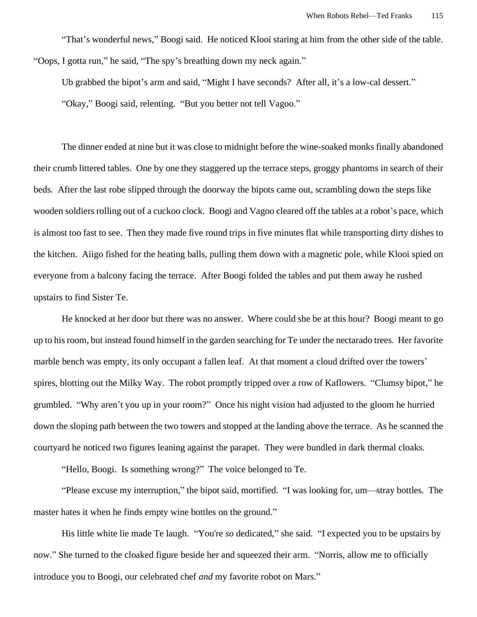"That's wonderful news," Boogi said. He noticed Klooi staring at him from the other side of the table. "Oops, I gotta run," he said, "The spy's breathing down my neck again."

Ub grabbed the bipot's arm and said, "Might I have seconds? After all, it's a low-cal dessert." "Okay," Boogi said, relenting. "But you better not tell Vagoo."

The dinner ended at nine but it was close to midnight before the wine-soaked monks finally abandoned their crumb littered tables. One by one they staggered up the terrace steps, groggy phantoms in search of their beds. After the last robe slipped through the doorway the bipots came out, scrambling down the steps like wooden soldiers rolling out of a cuckoo clock. Boogi and Vagoo cleared off the tables at a robot's pace, which is almost too fast to see. Then they made five round trips in five minutes flat while transporting dirty dishes to the kitchen. Aiigo fished for the heating balls, pulling them down with a magnetic pole, while Klooi spied on everyone from a balcony facing the terrace. After Boogi folded the tables and put them away he rushed upstairs to find Sister Te.

He knocked at her door but there was no answer. Where could she be at this hour? Boogi meant to go up to his room, but instead found himself in the garden searching for Te under the nectarado trees. Her favorite marble bench was empty, its only occupant a fallen leaf. At that moment a cloud drifted over the towers' spires, blotting out the Milky Way. The robot promptly tripped over a row of Kaflowers. "Clumsy bipot," he grumbled. "Why aren't you up in your room?" Once his night vision had adjusted to the gloom he hurried down the sloping path between the two towers and stopped at the landing above the terrace. As he scanned the courtyard he noticed two figures leaning against the parapet. They were bundled in dark thermal cloaks.

"Hello, Boogi. Is something wrong?" The voice belonged to Te.

"Please excuse my interruption," the bipot said, mortified. "I was looking for, um—stray bottles. The master hates it when he finds empty wine bottles on the ground."

His little white lie made Te laugh. "You're *so* dedicated," she said. "I expected you to be upstairs by now." She turned to the cloaked figure beside her and squeezed their arm. "Norris, allow me to officially introduce you to Boogi, our celebrated chef *and* my favorite robot on Mars."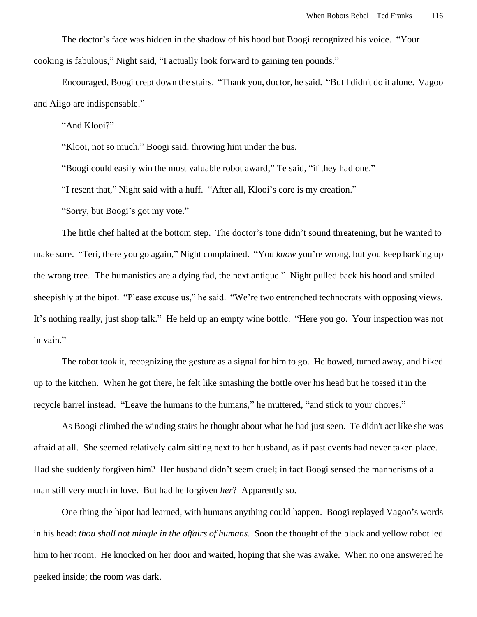The doctor's face was hidden in the shadow of his hood but Boogi recognized his voice. "Your cooking is fabulous," Night said, "I actually look forward to gaining ten pounds."

Encouraged, Boogi crept down the stairs. "Thank you, doctor, he said. "But I didn't do it alone. Vagoo and Aiigo are indispensable."

"And Klooi?"

"Klooi, not so much," Boogi said, throwing him under the bus.

"Boogi could easily win the most valuable robot award," Te said, "if they had one."

"I resent that," Night said with a huff. "After all, Klooi's core is my creation."

"Sorry, but Boogi's got my vote."

The little chef halted at the bottom step. The doctor's tone didn't sound threatening, but he wanted to make sure. "Teri, there you go again," Night complained. "You *know* you're wrong, but you keep barking up the wrong tree. The humanistics are a dying fad, the next antique." Night pulled back his hood and smiled sheepishly at the bipot. "Please excuse us," he said. "We're two entrenched technocrats with opposing views. It's nothing really, just shop talk." He held up an empty wine bottle. "Here you go. Your inspection was not in vain."

The robot took it, recognizing the gesture as a signal for him to go. He bowed, turned away, and hiked up to the kitchen. When he got there, he felt like smashing the bottle over his head but he tossed it in the recycle barrel instead. "Leave the humans to the humans," he muttered, "and stick to your chores."

As Boogi climbed the winding stairs he thought about what he had just seen. Te didn't act like she was afraid at all. She seemed relatively calm sitting next to her husband, as if past events had never taken place. Had she suddenly forgiven him? Her husband didn't seem cruel; in fact Boogi sensed the mannerisms of a man still very much in love. But had he forgiven *her*? Apparently so.

One thing the bipot had learned, with humans anything could happen. Boogi replayed Vagoo's words in his head: *thou shall not mingle in the affairs of humans*. Soon the thought of the black and yellow robot led him to her room. He knocked on her door and waited, hoping that she was awake. When no one answered he peeked inside; the room was dark.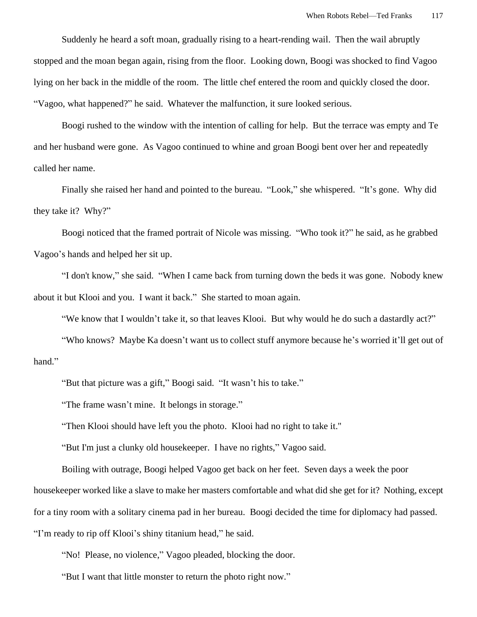Suddenly he heard a soft moan, gradually rising to a heart-rending wail. Then the wail abruptly stopped and the moan began again, rising from the floor. Looking down, Boogi was shocked to find Vagoo lying on her back in the middle of the room. The little chef entered the room and quickly closed the door. "Vagoo, what happened?" he said. Whatever the malfunction, it sure looked serious.

Boogi rushed to the window with the intention of calling for help. But the terrace was empty and Te and her husband were gone. As Vagoo continued to whine and groan Boogi bent over her and repeatedly called her name.

Finally she raised her hand and pointed to the bureau. "Look," she whispered. "It's gone. Why did they take it? Why?"

Boogi noticed that the framed portrait of Nicole was missing. "Who took it?" he said, as he grabbed Vagoo's hands and helped her sit up.

"I don't know," she said. "When I came back from turning down the beds it was gone. Nobody knew about it but Klooi and you. I want it back." She started to moan again.

"We know that I wouldn't take it, so that leaves Klooi. But why would he do such a dastardly act?"

"Who knows? Maybe Ka doesn't want us to collect stuff anymore because he's worried it'll get out of hand."

"But that picture was a gift," Boogi said. "It wasn't his to take."

"The frame wasn't mine. It belongs in storage."

"Then Klooi should have left you the photo. Klooi had no right to take it."

"But I'm just a clunky old housekeeper. I have no rights," Vagoo said.

Boiling with outrage, Boogi helped Vagoo get back on her feet. Seven days a week the poor housekeeper worked like a slave to make her masters comfortable and what did she get for it? Nothing, except for a tiny room with a solitary cinema pad in her bureau. Boogi decided the time for diplomacy had passed. "I'm ready to rip off Klooi's shiny titanium head," he said.

"No! Please, no violence," Vagoo pleaded, blocking the door.

"But I want that little monster to return the photo right now."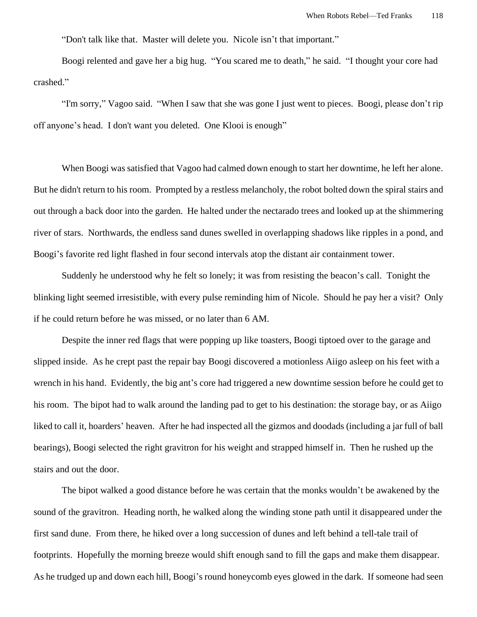"Don't talk like that. Master will delete you. Nicole isn't that important."

Boogi relented and gave her a big hug. "You scared me to death," he said. "I thought your core had crashed."

"I'm sorry," Vagoo said. "When I saw that she was gone I just went to pieces. Boogi, please don't rip off anyone's head. I don't want you deleted. One Klooi is enough"

When Boogi was satisfied that Vagoo had calmed down enough to start her downtime, he left her alone. But he didn't return to his room. Prompted by a restless melancholy, the robot bolted down the spiral stairs and out through a back door into the garden. He halted under the nectarado trees and looked up at the shimmering river of stars. Northwards, the endless sand dunes swelled in overlapping shadows like ripples in a pond, and Boogi's favorite red light flashed in four second intervals atop the distant air containment tower.

Suddenly he understood why he felt so lonely; it was from resisting the beacon's call. Tonight the blinking light seemed irresistible, with every pulse reminding him of Nicole. Should he pay her a visit? Only if he could return before he was missed, or no later than 6 AM.

Despite the inner red flags that were popping up like toasters, Boogi tiptoed over to the garage and slipped inside. As he crept past the repair bay Boogi discovered a motionless Aiigo asleep on his feet with a wrench in his hand. Evidently, the big ant's core had triggered a new downtime session before he could get to his room. The bipot had to walk around the landing pad to get to his destination: the storage bay, or as Aiigo liked to call it, hoarders' heaven. After he had inspected all the gizmos and doodads (including a jar full of ball bearings), Boogi selected the right gravitron for his weight and strapped himself in. Then he rushed up the stairs and out the door.

The bipot walked a good distance before he was certain that the monks wouldn't be awakened by the sound of the gravitron. Heading north, he walked along the winding stone path until it disappeared under the first sand dune. From there, he hiked over a long succession of dunes and left behind a tell-tale trail of footprints. Hopefully the morning breeze would shift enough sand to fill the gaps and make them disappear. As he trudged up and down each hill, Boogi's round honeycomb eyes glowed in the dark. If someone had seen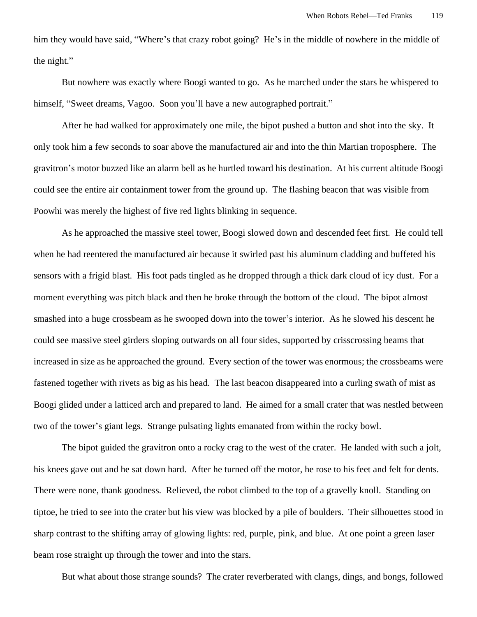him they would have said, "Where's that crazy robot going? He's in the middle of nowhere in the middle of the night."

But nowhere was exactly where Boogi wanted to go. As he marched under the stars he whispered to himself, "Sweet dreams, Vagoo. Soon you'll have a new autographed portrait."

After he had walked for approximately one mile, the bipot pushed a button and shot into the sky. It only took him a few seconds to soar above the manufactured air and into the thin Martian troposphere. The gravitron's motor buzzed like an alarm bell as he hurtled toward his destination. At his current altitude Boogi could see the entire air containment tower from the ground up. The flashing beacon that was visible from Poowhi was merely the highest of five red lights blinking in sequence.

As he approached the massive steel tower, Boogi slowed down and descended feet first. He could tell when he had reentered the manufactured air because it swirled past his aluminum cladding and buffeted his sensors with a frigid blast. His foot pads tingled as he dropped through a thick dark cloud of icy dust. For a moment everything was pitch black and then he broke through the bottom of the cloud. The bipot almost smashed into a huge crossbeam as he swooped down into the tower's interior. As he slowed his descent he could see massive steel girders sloping outwards on all four sides, supported by crisscrossing beams that increased in size as he approached the ground. Every section of the tower was enormous; the crossbeams were fastened together with rivets as big as his head. The last beacon disappeared into a curling swath of mist as Boogi glided under a latticed arch and prepared to land. He aimed for a small crater that was nestled between two of the tower's giant legs. Strange pulsating lights emanated from within the rocky bowl.

The bipot guided the gravitron onto a rocky crag to the west of the crater. He landed with such a jolt, his knees gave out and he sat down hard. After he turned off the motor, he rose to his feet and felt for dents. There were none, thank goodness. Relieved, the robot climbed to the top of a gravelly knoll. Standing on tiptoe, he tried to see into the crater but his view was blocked by a pile of boulders. Their silhouettes stood in sharp contrast to the shifting array of glowing lights: red, purple, pink, and blue. At one point a green laser beam rose straight up through the tower and into the stars.

But what about those strange sounds? The crater reverberated with clangs, dings, and bongs, followed